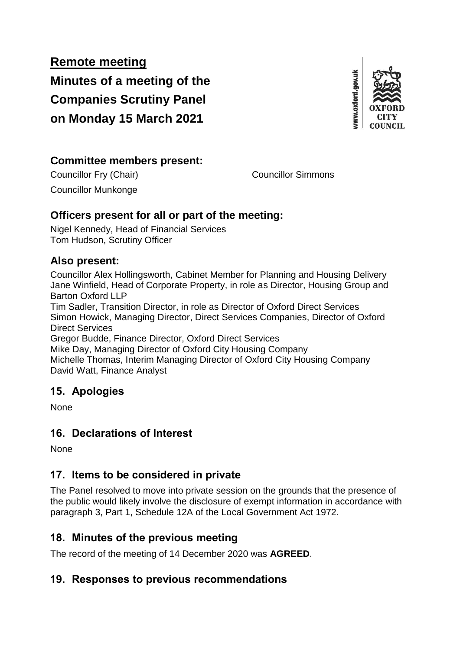**Remote meeting Minutes of a meeting of the Companies Scrutiny Panel on Monday 15 March 2021**



#### **Committee members present:**

Councillor Fry (Chair) Councillor Simmons

Councillor Munkonge

## **Officers present for all or part of the meeting:**

Nigel Kennedy, Head of Financial Services Tom Hudson, Scrutiny Officer

## **Also present:**

Councillor Alex Hollingsworth, Cabinet Member for Planning and Housing Delivery Jane Winfield, Head of Corporate Property, in role as Director, Housing Group and Barton Oxford LLP

Tim Sadler, Transition Director, in role as Director of Oxford Direct Services Simon Howick, Managing Director, Direct Services Companies, Director of Oxford Direct Services

Gregor Budde, Finance Director, Oxford Direct Services

Mike Day, Managing Director of Oxford City Housing Company Michelle Thomas, Interim Managing Director of Oxford City Housing Company

David Watt, Finance Analyst

# **15. Apologies**

None

# **16. Declarations of Interest**

None

# **17. Items to be considered in private**

The Panel resolved to move into private session on the grounds that the presence of the public would likely involve the disclosure of exempt information in accordance with paragraph 3, Part 1, Schedule 12A of the Local Government Act 1972.

# **18. Minutes of the previous meeting**

The record of the meeting of 14 December 2020 was **AGREED**.

## **19. Responses to previous recommendations**